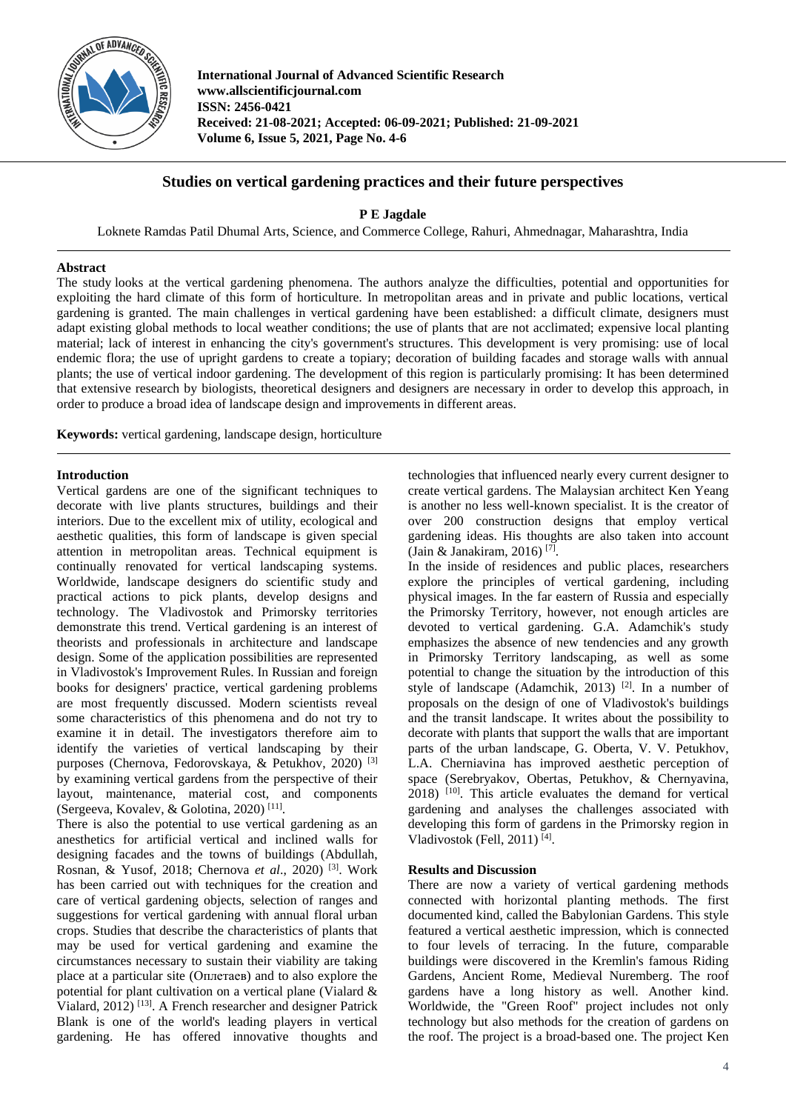

**International Journal of Advanced Scientific Research www.allscientificjournal.com ISSN: 2456-0421 Received: 21-08-2021; Accepted: 06-09-2021; Published: 21-09-2021 Volume 6, Issue 5, 2021, Page No. 4-6**

# **Studies on vertical gardening practices and their future perspectives**

**P E Jagdale**

Loknete Ramdas Patil Dhumal Arts, Science, and Commerce College, Rahuri, Ahmednagar, Maharashtra, India

## **Abstract**

The study looks at the vertical gardening phenomena. The authors analyze the difficulties, potential and opportunities for exploiting the hard climate of this form of horticulture. In metropolitan areas and in private and public locations, vertical gardening is granted. The main challenges in vertical gardening have been established: a difficult climate, designers must adapt existing global methods to local weather conditions; the use of plants that are not acclimated; expensive local planting material; lack of interest in enhancing the city's government's structures. This development is very promising: use of local endemic flora; the use of upright gardens to create a topiary; decoration of building facades and storage walls with annual plants; the use of vertical indoor gardening. The development of this region is particularly promising: It has been determined that extensive research by biologists, theoretical designers and designers are necessary in order to develop this approach, in order to produce a broad idea of landscape design and improvements in different areas.

**Keywords:** vertical gardening, landscape design, horticulture

### **Introduction**

Vertical gardens are one of the significant techniques to decorate with live plants structures, buildings and their interiors. Due to the excellent mix of utility, ecological and aesthetic qualities, this form of landscape is given special attention in metropolitan areas. Technical equipment is continually renovated for vertical landscaping systems. Worldwide, landscape designers do scientific study and practical actions to pick plants, develop designs and technology. The Vladivostok and Primorsky territories demonstrate this trend. Vertical gardening is an interest of theorists and professionals in architecture and landscape design. Some of the application possibilities are represented in Vladivostok's Improvement Rules. In Russian and foreign books for designers' practice, vertical gardening problems are most frequently discussed. Modern scientists reveal some characteristics of this phenomena and do not try to examine it in detail. The investigators therefore aim to identify the varieties of vertical landscaping by their purposes (Chernova, Fedorovskaya, & Petukhov, 2020)<sup>[3]</sup> by examining vertical gardens from the perspective of their layout, maintenance, material cost, and components (Sergeeva, Kovalev, & Golotina, 2020) [11] .

There is also the potential to use vertical gardening as an anesthetics for artificial vertical and inclined walls for designing facades and the towns of buildings (Abdullah, Rosnan, & Yusof, 2018; Chernova *et al*., 2020) [3] . Work has been carried out with techniques for the creation and care of vertical gardening objects, selection of ranges and suggestions for vertical gardening with annual floral urban crops. Studies that describe the characteristics of plants that may be used for vertical gardening and examine the circumstances necessary to sustain their viability are taking place at a particular site (Оплетаев) and to also explore the potential for plant cultivation on a vertical plane (Vialard & Vialard, 2012) [13] . A French researcher and designer Patrick Blank is one of the world's leading players in vertical gardening. He has offered innovative thoughts and technologies that influenced nearly every current designer to create vertical gardens. The Malaysian architect Ken Yeang is another no less well-known specialist. It is the creator of over 200 construction designs that employ vertical gardening ideas. His thoughts are also taken into account (Jain & Janakiram, 2016)<sup>[7]</sup>.

In the inside of residences and public places, researchers explore the principles of vertical gardening, including physical images. In the far eastern of Russia and especially the Primorsky Territory, however, not enough articles are devoted to vertical gardening. G.A. Adamchik's study emphasizes the absence of new tendencies and any growth in Primorsky Territory landscaping, as well as some potential to change the situation by the introduction of this style of landscape (Adamchik, 2013) [2] . In a number of proposals on the design of one of Vladivostok's buildings and the transit landscape. It writes about the possibility to decorate with plants that support the walls that are important parts of the urban landscape, G. Oberta, V. V. Petukhov, L.A. Cherniavina has improved aesthetic perception of space (Serebryakov, Obertas, Petukhov, & Chernyavina, 2018) [10] . This article evaluates the demand for vertical gardening and analyses the challenges associated with developing this form of gardens in the Primorsky region in Vladivostok (Fell, 2011)<sup>[4]</sup>.

#### **Results and Discussion**

There are now a variety of vertical gardening methods connected with horizontal planting methods. The first documented kind, called the Babylonian Gardens. This style featured a vertical aesthetic impression, which is connected to four levels of terracing. In the future, comparable buildings were discovered in the Kremlin's famous Riding Gardens, Ancient Rome, Medieval Nuremberg. The roof gardens have a long history as well. Another kind. Worldwide, the "Green Roof" project includes not only technology but also methods for the creation of gardens on the roof. The project is a broad-based one. The project Ken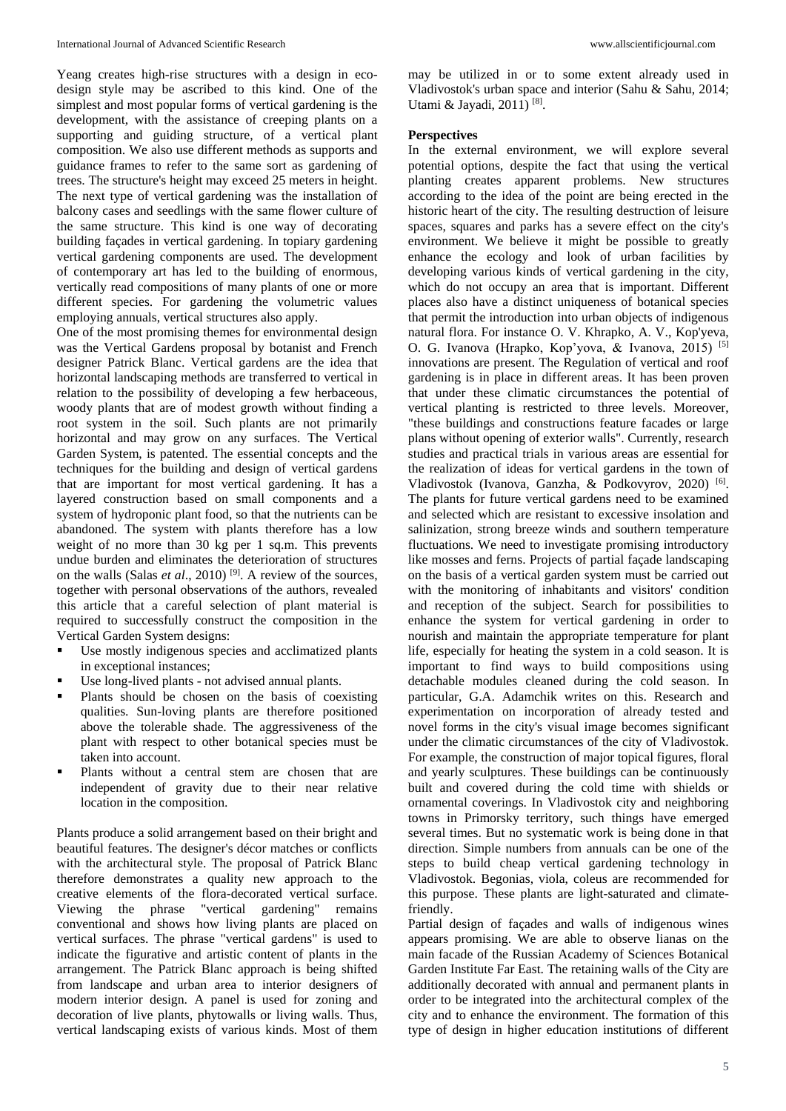Yeang creates high-rise structures with a design in ecodesign style may be ascribed to this kind. One of the simplest and most popular forms of vertical gardening is the development, with the assistance of creeping plants on a supporting and guiding structure, of a vertical plant composition. We also use different methods as supports and guidance frames to refer to the same sort as gardening of trees. The structure's height may exceed 25 meters in height. The next type of vertical gardening was the installation of balcony cases and seedlings with the same flower culture of the same structure. This kind is one way of decorating building façades in vertical gardening. In topiary gardening vertical gardening components are used. The development of contemporary art has led to the building of enormous, vertically read compositions of many plants of one or more different species. For gardening the volumetric values employing annuals, vertical structures also apply.

One of the most promising themes for environmental design was the Vertical Gardens proposal by botanist and French designer Patrick Blanc. Vertical gardens are the idea that horizontal landscaping methods are transferred to vertical in relation to the possibility of developing a few herbaceous, woody plants that are of modest growth without finding a root system in the soil. Such plants are not primarily horizontal and may grow on any surfaces. The Vertical Garden System, is patented. The essential concepts and the techniques for the building and design of vertical gardens that are important for most vertical gardening. It has a layered construction based on small components and a system of hydroponic plant food, so that the nutrients can be abandoned. The system with plants therefore has a low weight of no more than 30 kg per 1 sq.m. This prevents undue burden and eliminates the deterioration of structures on the walls (Salas *et al*., 2010) [9] . A review of the sources, together with personal observations of the authors, revealed this article that a careful selection of plant material is required to successfully construct the composition in the Vertical Garden System designs:

- Use mostly indigenous species and acclimatized plants in exceptional instances;
- Use long-lived plants not advised annual plants.
- Plants should be chosen on the basis of coexisting qualities. Sun-loving plants are therefore positioned above the tolerable shade. The aggressiveness of the plant with respect to other botanical species must be taken into account.
- Plants without a central stem are chosen that are independent of gravity due to their near relative location in the composition.

Plants produce a solid arrangement based on their bright and beautiful features. The designer's décor matches or conflicts with the architectural style. The proposal of Patrick Blanc therefore demonstrates a quality new approach to the creative elements of the flora-decorated vertical surface. Viewing the phrase "vertical gardening" remains conventional and shows how living plants are placed on vertical surfaces. The phrase "vertical gardens" is used to indicate the figurative and artistic content of plants in the arrangement. The Patrick Blanc approach is being shifted from landscape and urban area to interior designers of modern interior design. A panel is used for zoning and decoration of live plants, phytowalls or living walls. Thus, vertical landscaping exists of various kinds. Most of them may be utilized in or to some extent already used in Vladivostok's urban space and interior (Sahu & Sahu, 2014; Utami & Jayadi, 2011)<sup>[8]</sup>.

## **Perspectives**

In the external environment, we will explore several potential options, despite the fact that using the vertical planting creates apparent problems. New structures according to the idea of the point are being erected in the historic heart of the city. The resulting destruction of leisure spaces, squares and parks has a severe effect on the city's environment. We believe it might be possible to greatly enhance the ecology and look of urban facilities by developing various kinds of vertical gardening in the city, which do not occupy an area that is important. Different places also have a distinct uniqueness of botanical species that permit the introduction into urban objects of indigenous natural flora. For instance O. V. Khrapko, A. V., Kop'yeva, O. G. Ivanova (Hrapko, Kop'yova, & Ivanova, 2015) [5] innovations are present. The Regulation of vertical and roof gardening is in place in different areas. It has been proven that under these climatic circumstances the potential of vertical planting is restricted to three levels. Moreover, "these buildings and constructions feature facades or large plans without opening of exterior walls". Currently, research studies and practical trials in various areas are essential for the realization of ideas for vertical gardens in the town of Vladivostok (Ivanova, Ganzha, & Podkovyrov, 2020) <sup>[6]</sup>. The plants for future vertical gardens need to be examined and selected which are resistant to excessive insolation and salinization, strong breeze winds and southern temperature fluctuations. We need to investigate promising introductory like mosses and ferns. Projects of partial façade landscaping on the basis of a vertical garden system must be carried out with the monitoring of inhabitants and visitors' condition and reception of the subject. Search for possibilities to enhance the system for vertical gardening in order to nourish and maintain the appropriate temperature for plant life, especially for heating the system in a cold season. It is important to find ways to build compositions using detachable modules cleaned during the cold season. In particular, G.A. Adamchik writes on this. Research and experimentation on incorporation of already tested and novel forms in the city's visual image becomes significant under the climatic circumstances of the city of Vladivostok. For example, the construction of major topical figures, floral and yearly sculptures. These buildings can be continuously built and covered during the cold time with shields or ornamental coverings. In Vladivostok city and neighboring towns in Primorsky territory, such things have emerged several times. But no systematic work is being done in that direction. Simple numbers from annuals can be one of the steps to build cheap vertical gardening technology in Vladivostok. Begonias, viola, coleus are recommended for this purpose. These plants are light-saturated and climatefriendly.

Partial design of façades and walls of indigenous wines appears promising. We are able to observe lianas on the main facade of the Russian Academy of Sciences Botanical Garden Institute Far East. The retaining walls of the City are additionally decorated with annual and permanent plants in order to be integrated into the architectural complex of the city and to enhance the environment. The formation of this type of design in higher education institutions of different